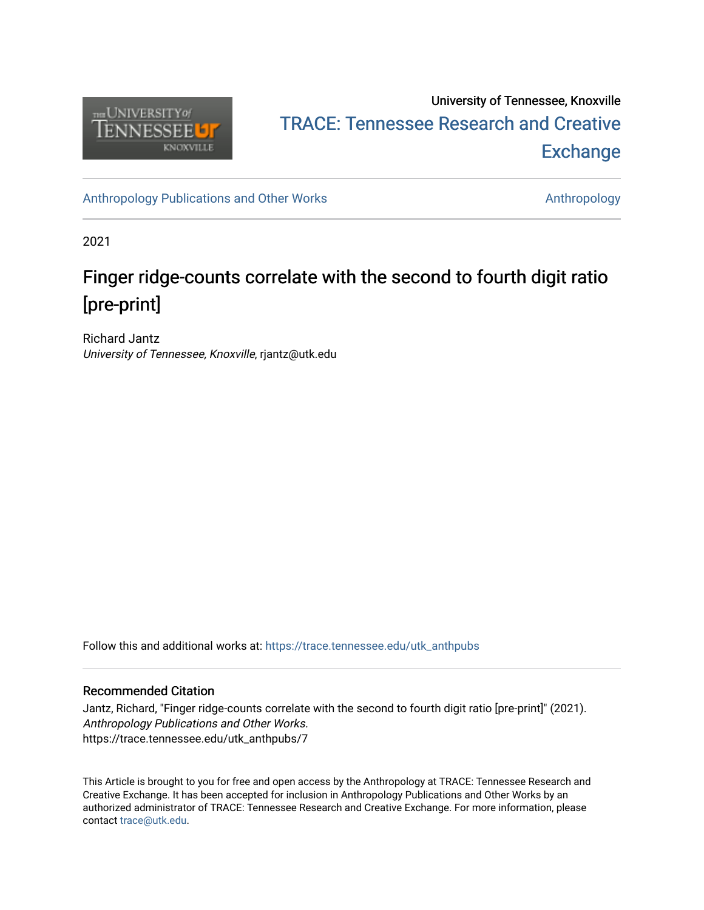

## University of Tennessee, Knoxville TRACE: T[ennessee Research and Cr](https://trace.tennessee.edu/)eative **Exchange**

[Anthropology Publications and Other Works](https://trace.tennessee.edu/utk_anthpubs) **Anthropology** Anthropology

2021

# Finger ridge-counts correlate with the second to fourth digit ratio [pre-print]

Richard Jantz University of Tennessee, Knoxville, rjantz@utk.edu

Follow this and additional works at: [https://trace.tennessee.edu/utk\\_anthpubs](https://trace.tennessee.edu/utk_anthpubs?utm_source=trace.tennessee.edu%2Futk_anthpubs%2F7&utm_medium=PDF&utm_campaign=PDFCoverPages)

#### Recommended Citation

Jantz, Richard, "Finger ridge-counts correlate with the second to fourth digit ratio [pre-print]" (2021). Anthropology Publications and Other Works. https://trace.tennessee.edu/utk\_anthpubs/7

This Article is brought to you for free and open access by the Anthropology at TRACE: Tennessee Research and Creative Exchange. It has been accepted for inclusion in Anthropology Publications and Other Works by an authorized administrator of TRACE: Tennessee Research and Creative Exchange. For more information, please contact [trace@utk.edu](mailto:trace@utk.edu).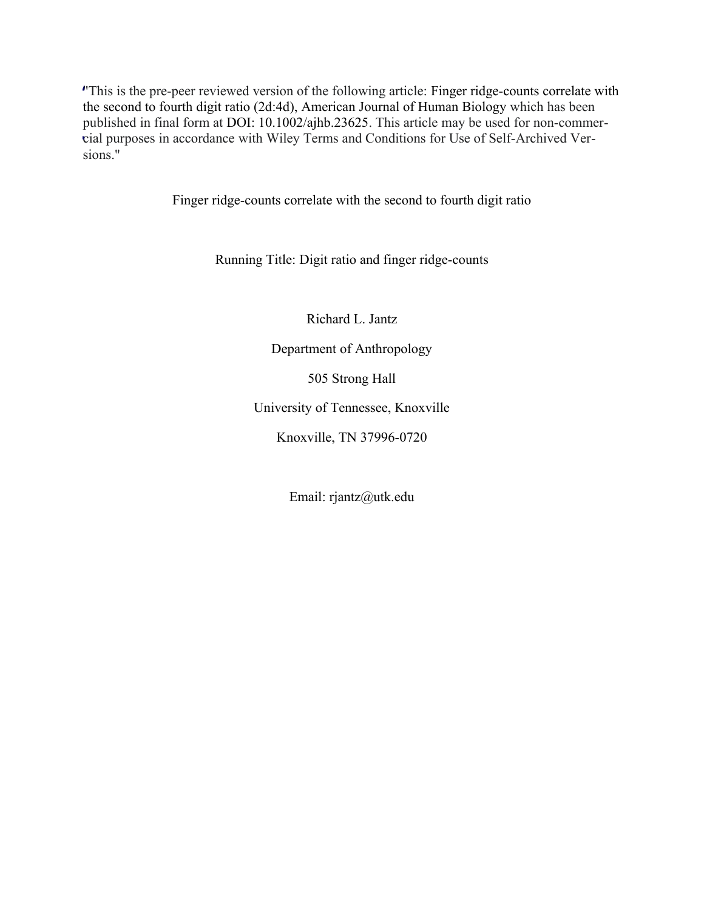"This is the pre-peer reviewed version of the following article: Finger ridge-counts correlate with / the second to fourth digit ratio (2d:4d), American Journal of Human Biology which has been the second to fourth digit ratio (2d:4d), American Journal of Human Biology which has been<br>published in final form at DOI: 10.1002/ajhb.23625. This article may be used for non-commer-<br>piel purposes in accordance with Wiley cial purposes in accordance with Wiley Terms and Conditions for Use of Self-Archived Versions." .

Finger ridge-counts correlate with the second to fourth digit ratio

Running Title: Digit ratio and finger ridge-counts

Richard L. Jantz

Department of Anthropology

505 Strong Hall

University of Tennessee, Knoxville

Knoxville, TN 37996-0720

Email: rjantz@utk.edu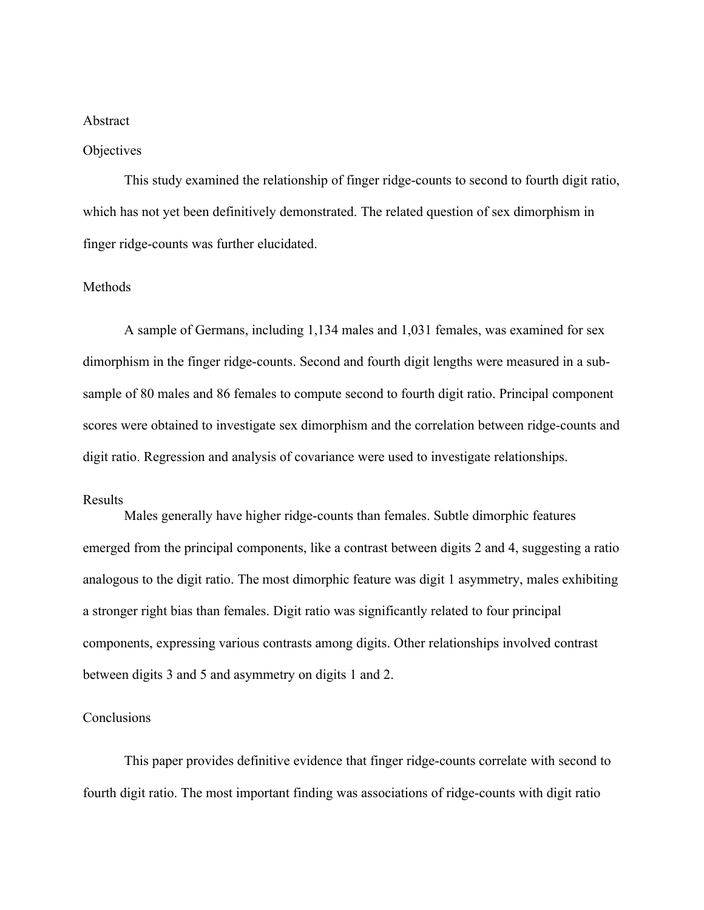#### Abstract

#### **Objectives**

This study examined the relationship of finger ridge-counts to second to fourth digit ratio, which has not yet been definitively demonstrated. The related question of sex dimorphism in finger ridge-counts was further elucidated.

#### Methods

A sample of Germans, including 1,134 males and 1,031 females, was examined for sex dimorphism in the finger ridge-counts. Second and fourth digit lengths were measured in a subsample of 80 males and 86 females to compute second to fourth digit ratio. Principal component scores were obtained to investigate sex dimorphism and the correlation between ridge-counts and digit ratio. Regression and analysis of covariance were used to investigate relationships.

#### Results

Males generally have higher ridge-counts than females. Subtle dimorphic features emerged from the principal components, like a contrast between digits 2 and 4, suggesting a ratio analogous to the digit ratio. The most dimorphic feature was digit 1 asymmetry, males exhibiting a stronger right bias than females. Digit ratio was significantly related to four principal components, expressing various contrasts among digits. Other relationships involved contrast between digits 3 and 5 and asymmetry on digits 1 and 2.

#### Conclusions

This paper provides definitive evidence that finger ridge-counts correlate with second to fourth digit ratio. The most important finding was associations of ridge-counts with digit ratio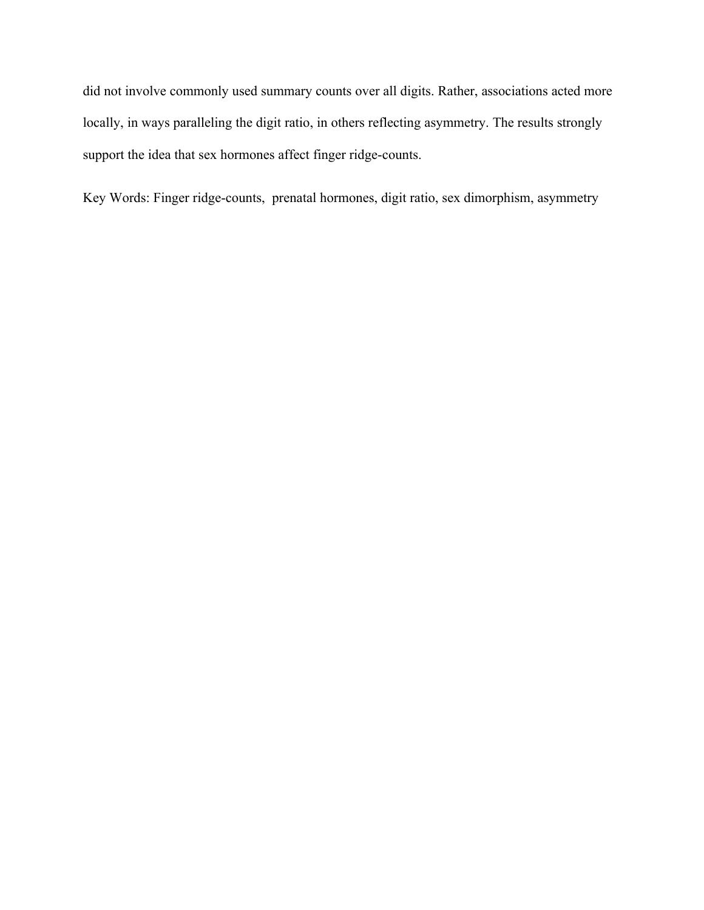did not involve commonly used summary counts over all digits. Rather, associations acted more locally, in ways paralleling the digit ratio, in others reflecting asymmetry. The results strongly support the idea that sex hormones affect finger ridge-counts.

Key Words: Finger ridge-counts, prenatal hormones, digit ratio, sex dimorphism, asymmetry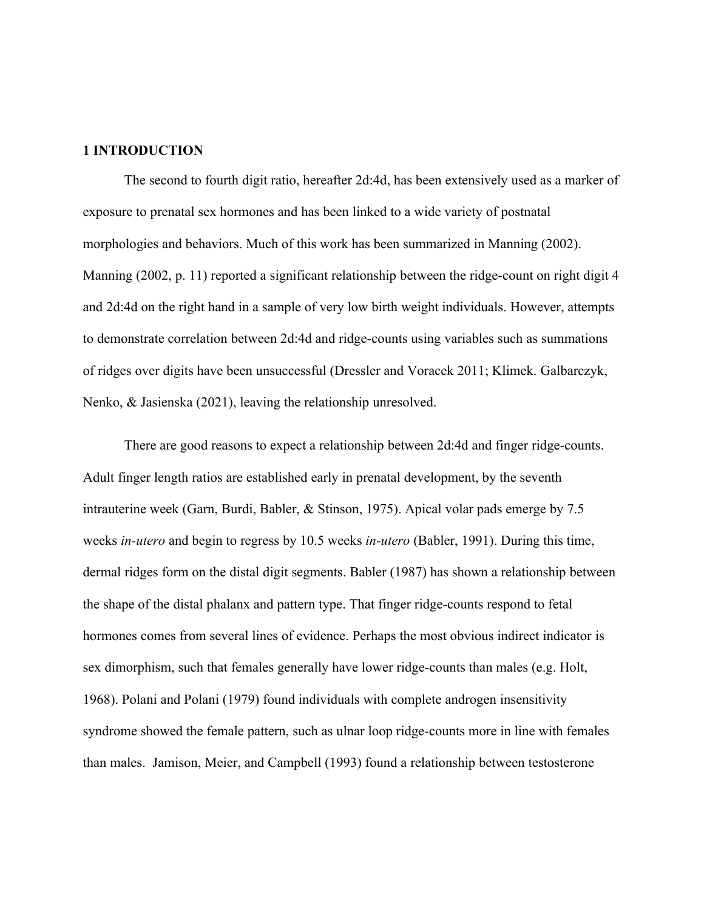#### **1 INTRODUCTION**

The second to fourth digit ratio, hereafter 2d:4d, has been extensively used as a marker of exposure to prenatal sex hormones and has been linked to a wide variety of postnatal morphologies and behaviors. Much of this work has been summarized in Manning (2002). Manning (2002, p. 11) reported a significant relationship between the ridge-count on right digit 4 and 2d:4d on the right hand in a sample of very low birth weight individuals. However, attempts to demonstrate correlation between 2d:4d and ridge-counts using variables such as summations of ridges over digits have been unsuccessful (Dressler and Voracek 2011; Klimek. Galbarczyk, Nenko, & Jasienska (2021), leaving the relationship unresolved.

There are good reasons to expect a relationship between 2d:4d and finger ridge-counts. Adult finger length ratios are established early in prenatal development, by the seventh intrauterine week (Garn, Burdi, Babler, & Stinson, 1975). Apical volar pads emerge by 7.5 weeks *in-utero* and begin to regress by 10.5 weeks *in-utero* (Babler, 1991). During this time, dermal ridges form on the distal digit segments. Babler (1987) has shown a relationship between the shape of the distal phalanx and pattern type. That finger ridge-counts respond to fetal hormones comes from several lines of evidence. Perhaps the most obvious indirect indicator is sex dimorphism, such that females generally have lower ridge-counts than males (e.g. Holt, 1968). Polani and Polani (1979) found individuals with complete androgen insensitivity syndrome showed the female pattern, such as ulnar loop ridge-counts more in line with females than males. Jamison, Meier, and Campbell (1993) found a relationship between testosterone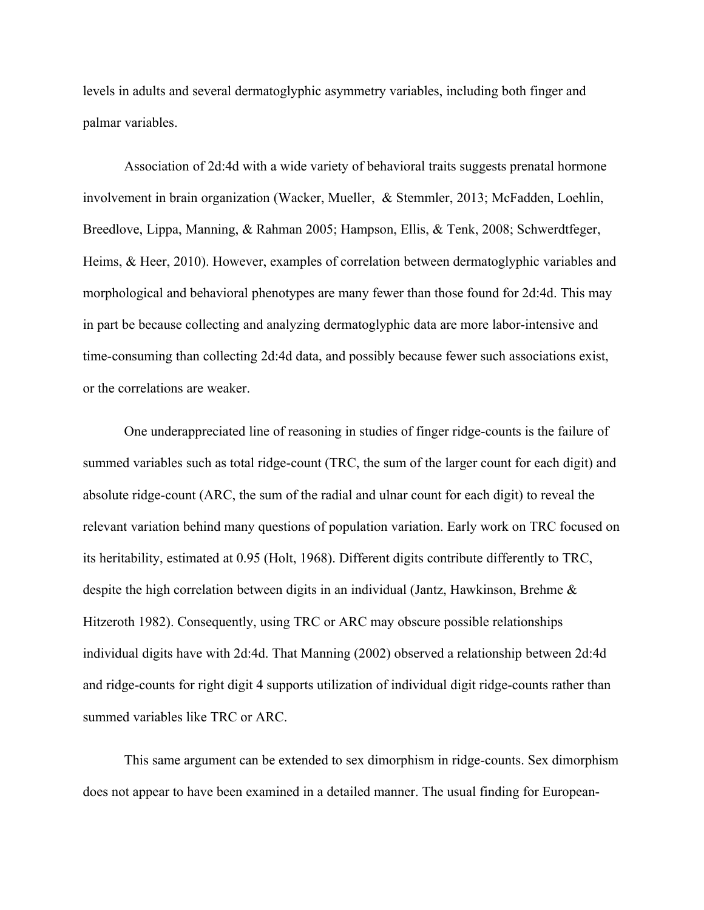levels in adults and several dermatoglyphic asymmetry variables, including both finger and palmar variables.

Association of 2d:4d with a wide variety of behavioral traits suggests prenatal hormone involvement in brain organization (Wacker, Mueller, & Stemmler, 2013; McFadden, Loehlin, Breedlove, Lippa, Manning, & Rahman 2005; Hampson, Ellis, & Tenk, 2008; Schwerdtfeger, Heims, & Heer, 2010). However, examples of correlation between dermatoglyphic variables and morphological and behavioral phenotypes are many fewer than those found for 2d:4d. This may in part be because collecting and analyzing dermatoglyphic data are more labor-intensive and time-consuming than collecting 2d:4d data, and possibly because fewer such associations exist, or the correlations are weaker.

One underappreciated line of reasoning in studies of finger ridge-counts is the failure of summed variables such as total ridge-count (TRC, the sum of the larger count for each digit) and absolute ridge-count (ARC, the sum of the radial and ulnar count for each digit) to reveal the relevant variation behind many questions of population variation. Early work on TRC focused on its heritability, estimated at 0.95 (Holt, 1968). Different digits contribute differently to TRC, despite the high correlation between digits in an individual (Jantz, Hawkinson, Brehme & Hitzeroth 1982). Consequently, using TRC or ARC may obscure possible relationships individual digits have with 2d:4d. That Manning (2002) observed a relationship between 2d:4d and ridge-counts for right digit 4 supports utilization of individual digit ridge-counts rather than summed variables like TRC or ARC.

This same argument can be extended to sex dimorphism in ridge-counts. Sex dimorphism does not appear to have been examined in a detailed manner. The usual finding for European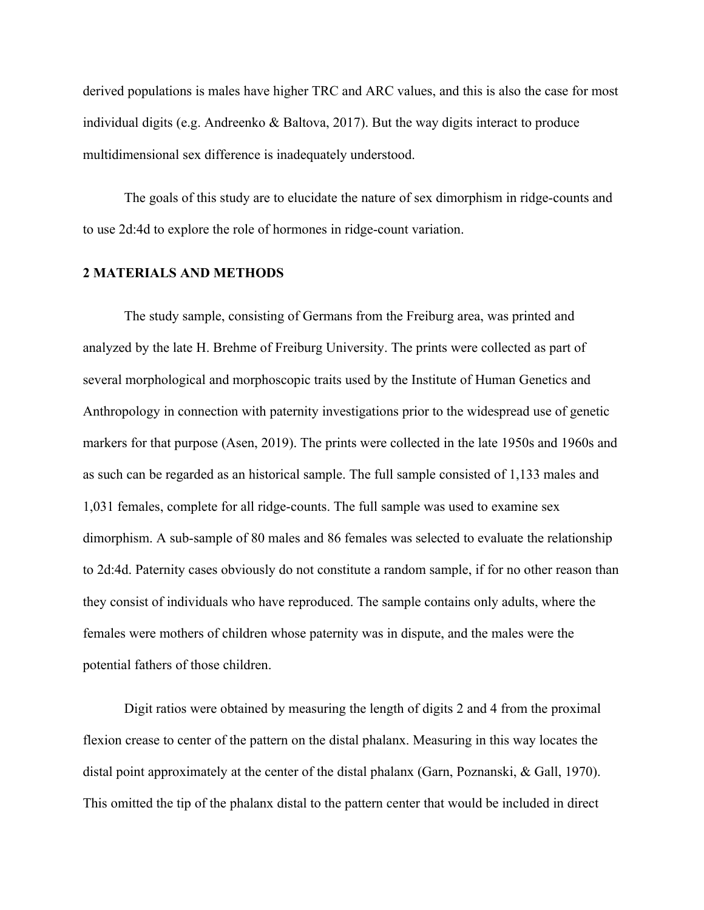derived populations is males have higher TRC and ARC values, and this is also the case for most individual digits (e.g. Andreenko & Baltova, 2017). But the way digits interact to produce multidimensional sex difference is inadequately understood.

The goals of this study are to elucidate the nature of sex dimorphism in ridge-counts and to use 2d:4d to explore the role of hormones in ridge-count variation.

#### **2 MATERIALS AND METHODS**

The study sample, consisting of Germans from the Freiburg area, was printed and analyzed by the late H. Brehme of Freiburg University. The prints were collected as part of several morphological and morphoscopic traits used by the Institute of Human Genetics and Anthropology in connection with paternity investigations prior to the widespread use of genetic markers for that purpose (Asen, 2019). The prints were collected in the late 1950s and 1960s and as such can be regarded as an historical sample. The full sample consisted of 1,133 males and 1,031 females, complete for all ridge-counts. The full sample was used to examine sex dimorphism. A sub-sample of 80 males and 86 females was selected to evaluate the relationship to 2d:4d. Paternity cases obviously do not constitute a random sample, if for no other reason than they consist of individuals who have reproduced. The sample contains only adults, where the females were mothers of children whose paternity was in dispute, and the males were the potential fathers of those children.

Digit ratios were obtained by measuring the length of digits 2 and 4 from the proximal flexion crease to center of the pattern on the distal phalanx. Measuring in this way locates the distal point approximately at the center of the distal phalanx (Garn, Poznanski, & Gall, 1970). This omitted the tip of the phalanx distal to the pattern center that would be included in direct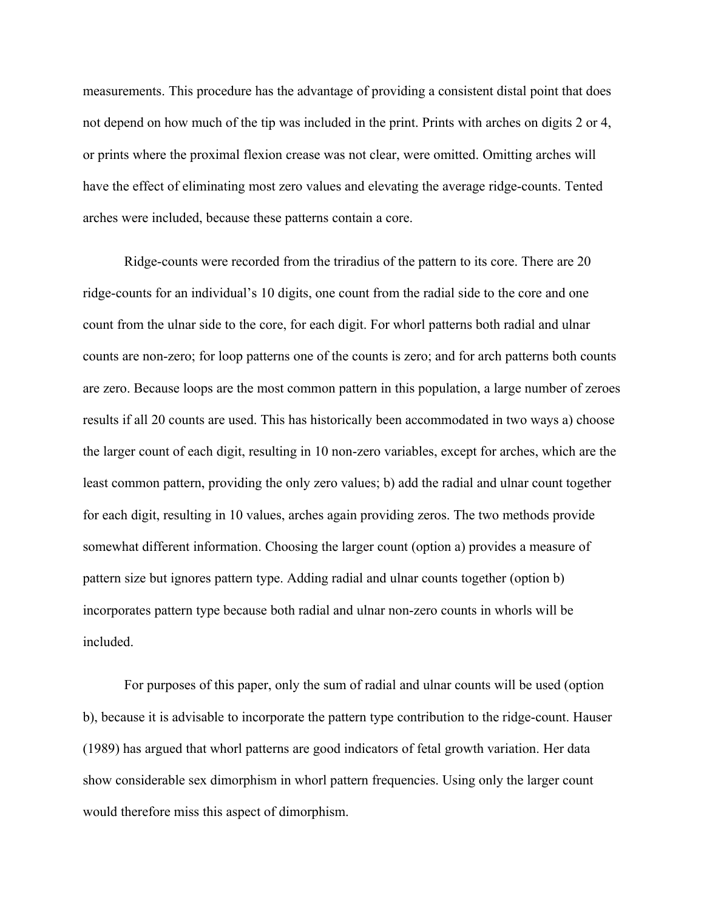measurements. This procedure has the advantage of providing a consistent distal point that does not depend on how much of the tip was included in the print. Prints with arches on digits 2 or 4, or prints where the proximal flexion crease was not clear, were omitted. Omitting arches will have the effect of eliminating most zero values and elevating the average ridge-counts. Tented arches were included, because these patterns contain a core.

Ridge-counts were recorded from the triradius of the pattern to its core. There are 20 ridge-counts for an individual's 10 digits, one count from the radial side to the core and one count from the ulnar side to the core, for each digit. For whorl patterns both radial and ulnar counts are non-zero; for loop patterns one of the counts is zero; and for arch patterns both counts are zero. Because loops are the most common pattern in this population, a large number of zeroes results if all 20 counts are used. This has historically been accommodated in two ways a) choose the larger count of each digit, resulting in 10 non-zero variables, except for arches, which are the least common pattern, providing the only zero values; b) add the radial and ulnar count together for each digit, resulting in 10 values, arches again providing zeros. The two methods provide somewhat different information. Choosing the larger count (option a) provides a measure of pattern size but ignores pattern type. Adding radial and ulnar counts together (option b) incorporates pattern type because both radial and ulnar non-zero counts in whorls will be included.

For purposes of this paper, only the sum of radial and ulnar counts will be used (option b), because it is advisable to incorporate the pattern type contribution to the ridge-count. Hauser (1989) has argued that whorl patterns are good indicators of fetal growth variation. Her data show considerable sex dimorphism in whorl pattern frequencies. Using only the larger count would therefore miss this aspect of dimorphism.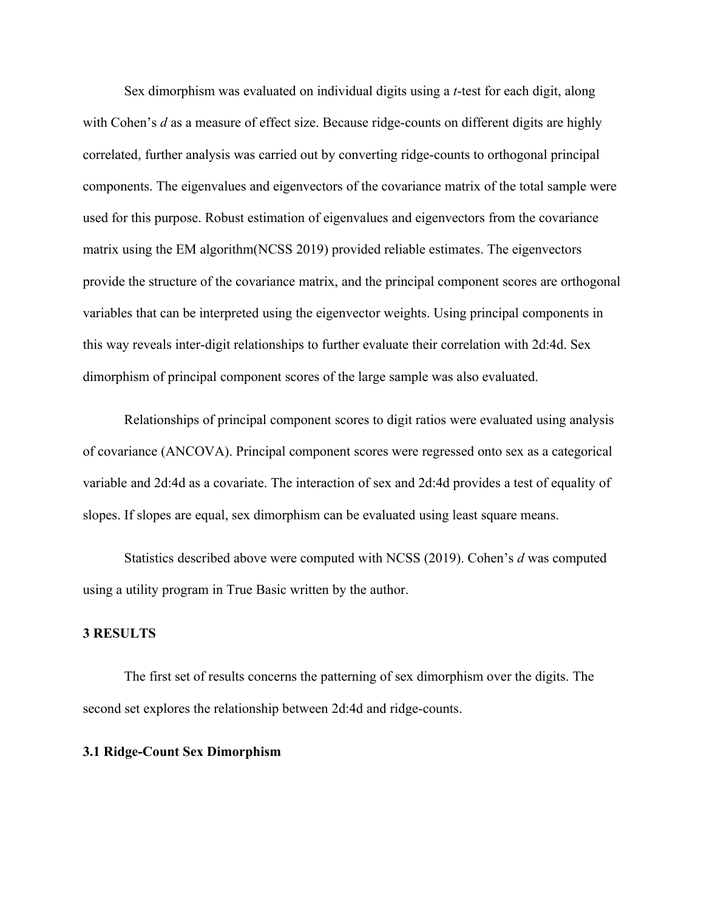Sex dimorphism was evaluated on individual digits using a *t*-test for each digit, along with Cohen's *d* as a measure of effect size. Because ridge-counts on different digits are highly correlated, further analysis was carried out by converting ridge-counts to orthogonal principal components. The eigenvalues and eigenvectors of the covariance matrix of the total sample were used for this purpose. Robust estimation of eigenvalues and eigenvectors from the covariance matrix using the EM algorithm(NCSS 2019) provided reliable estimates. The eigenvectors provide the structure of the covariance matrix, and the principal component scores are orthogonal variables that can be interpreted using the eigenvector weights. Using principal components in this way reveals inter-digit relationships to further evaluate their correlation with 2d:4d. Sex dimorphism of principal component scores of the large sample was also evaluated.

Relationships of principal component scores to digit ratios were evaluated using analysis of covariance (ANCOVA). Principal component scores were regressed onto sex as a categorical variable and 2d:4d as a covariate. The interaction of sex and 2d:4d provides a test of equality of slopes. If slopes are equal, sex dimorphism can be evaluated using least square means.

Statistics described above were computed with NCSS (2019). Cohen's *d* was computed using a utility program in True Basic written by the author.

#### **3 RESULTS**

The first set of results concerns the patterning of sex dimorphism over the digits. The second set explores the relationship between 2d:4d and ridge-counts.

#### **3.1 Ridge-Count Sex Dimorphism**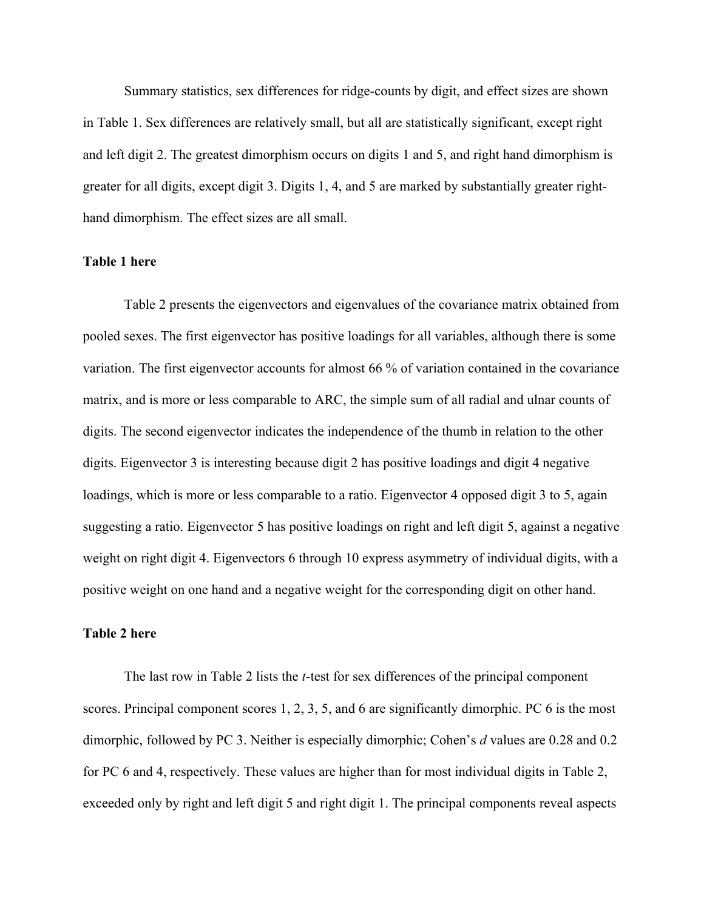Summary statistics, sex differences for ridge-counts by digit, and effect sizes are shown in Table 1. Sex differences are relatively small, but all are statistically significant, except right and left digit 2. The greatest dimorphism occurs on digits 1 and 5, and right hand dimorphism is greater for all digits, except digit 3. Digits 1, 4, and 5 are marked by substantially greater righthand dimorphism. The effect sizes are all small.

#### **Table 1 here**

Table 2 presents the eigenvectors and eigenvalues of the covariance matrix obtained from pooled sexes. The first eigenvector has positive loadings for all variables, although there is some variation. The first eigenvector accounts for almost 66 % of variation contained in the covariance matrix, and is more or less comparable to ARC, the simple sum of all radial and ulnar counts of digits. The second eigenvector indicates the independence of the thumb in relation to the other digits. Eigenvector 3 is interesting because digit 2 has positive loadings and digit 4 negative loadings, which is more or less comparable to a ratio. Eigenvector 4 opposed digit 3 to 5, again suggesting a ratio. Eigenvector 5 has positive loadings on right and left digit 5, against a negative weight on right digit 4. Eigenvectors 6 through 10 express asymmetry of individual digits, with a positive weight on one hand and a negative weight for the corresponding digit on other hand.

#### **Table 2 here**

The last row in Table 2 lists the *t*-test for sex differences of the principal component scores. Principal component scores 1, 2, 3, 5, and 6 are significantly dimorphic. PC 6 is the most dimorphic, followed by PC 3. Neither is especially dimorphic; Cohen's *d* values are 0.28 and 0.2 for PC 6 and 4, respectively. These values are higher than for most individual digits in Table 2, exceeded only by right and left digit 5 and right digit 1. The principal components reveal aspects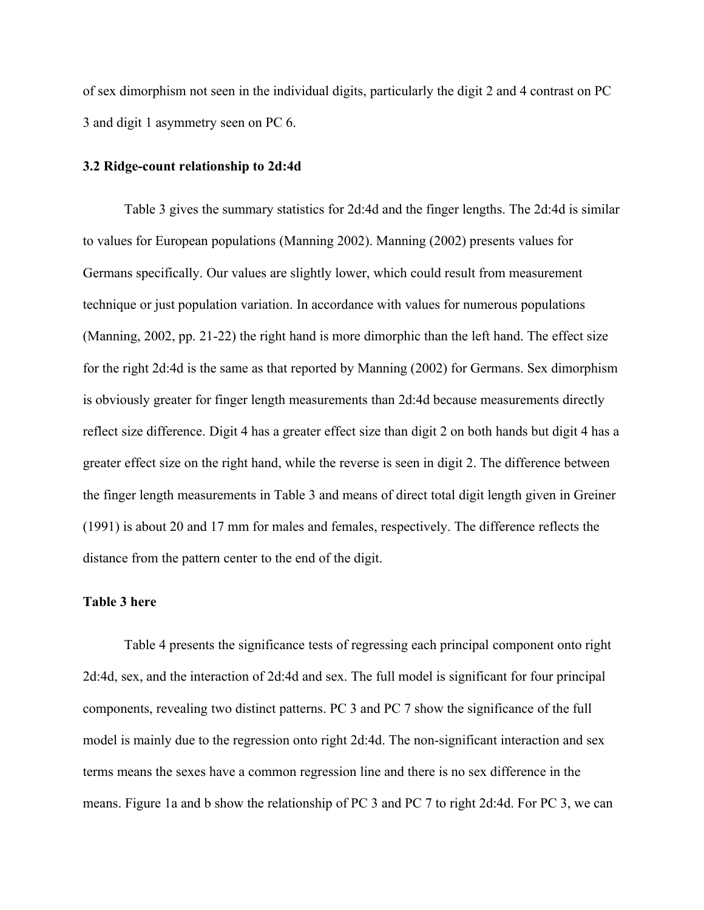of sex dimorphism not seen in the individual digits, particularly the digit 2 and 4 contrast on PC 3 and digit 1 asymmetry seen on PC 6.

#### **3.2 Ridge-count relationship to 2d:4d**

Table 3 gives the summary statistics for 2d:4d and the finger lengths. The 2d:4d is similar to values for European populations (Manning 2002). Manning (2002) presents values for Germans specifically. Our values are slightly lower, which could result from measurement technique or just population variation. In accordance with values for numerous populations (Manning, 2002, pp. 21-22) the right hand is more dimorphic than the left hand. The effect size for the right 2d:4d is the same as that reported by Manning (2002) for Germans. Sex dimorphism is obviously greater for finger length measurements than 2d:4d because measurements directly reflect size difference. Digit 4 has a greater effect size than digit 2 on both hands but digit 4 has a greater effect size on the right hand, while the reverse is seen in digit 2. The difference between the finger length measurements in Table 3 and means of direct total digit length given in Greiner (1991) is about 20 and 17 mm for males and females, respectively. The difference reflects the distance from the pattern center to the end of the digit.

#### **Table 3 here**

Table 4 presents the significance tests of regressing each principal component onto right 2d:4d, sex, and the interaction of 2d:4d and sex. The full model is significant for four principal components, revealing two distinct patterns. PC 3 and PC 7 show the significance of the full model is mainly due to the regression onto right 2d:4d. The non-significant interaction and sex terms means the sexes have a common regression line and there is no sex difference in the means. Figure 1a and b show the relationship of PC 3 and PC 7 to right 2d:4d. For PC 3, we can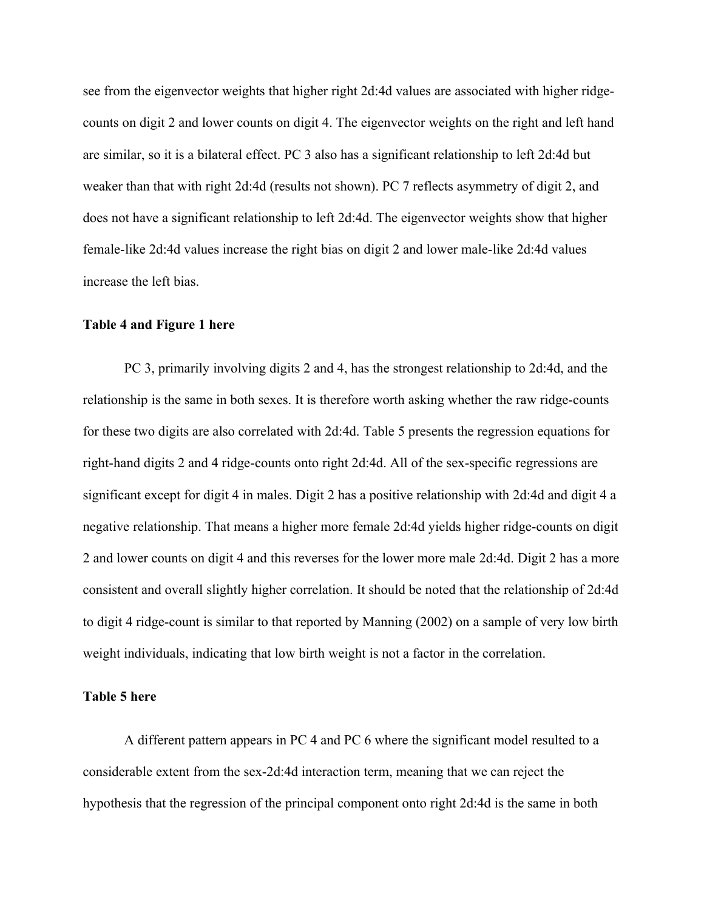see from the eigenvector weights that higher right 2d:4d values are associated with higher ridgecounts on digit 2 and lower counts on digit 4. The eigenvector weights on the right and left hand are similar, so it is a bilateral effect. PC 3 also has a significant relationship to left 2d:4d but weaker than that with right 2d:4d (results not shown). PC 7 reflects asymmetry of digit 2, and does not have a significant relationship to left 2d:4d. The eigenvector weights show that higher female-like 2d:4d values increase the right bias on digit 2 and lower male-like 2d:4d values increase the left bias.

#### **Table 4 and Figure 1 here**

PC 3, primarily involving digits 2 and 4, has the strongest relationship to 2d:4d, and the relationship is the same in both sexes. It is therefore worth asking whether the raw ridge-counts for these two digits are also correlated with 2d:4d. Table 5 presents the regression equations for right-hand digits 2 and 4 ridge-counts onto right 2d:4d. All of the sex-specific regressions are significant except for digit 4 in males. Digit 2 has a positive relationship with 2d:4d and digit 4 a negative relationship. That means a higher more female 2d:4d yields higher ridge-counts on digit 2 and lower counts on digit 4 and this reverses for the lower more male 2d:4d. Digit 2 has a more consistent and overall slightly higher correlation. It should be noted that the relationship of 2d:4d to digit 4 ridge-count is similar to that reported by Manning (2002) on a sample of very low birth weight individuals, indicating that low birth weight is not a factor in the correlation.

#### **Table 5 here**

A different pattern appears in PC 4 and PC 6 where the significant model resulted to a considerable extent from the sex-2d:4d interaction term, meaning that we can reject the hypothesis that the regression of the principal component onto right 2d:4d is the same in both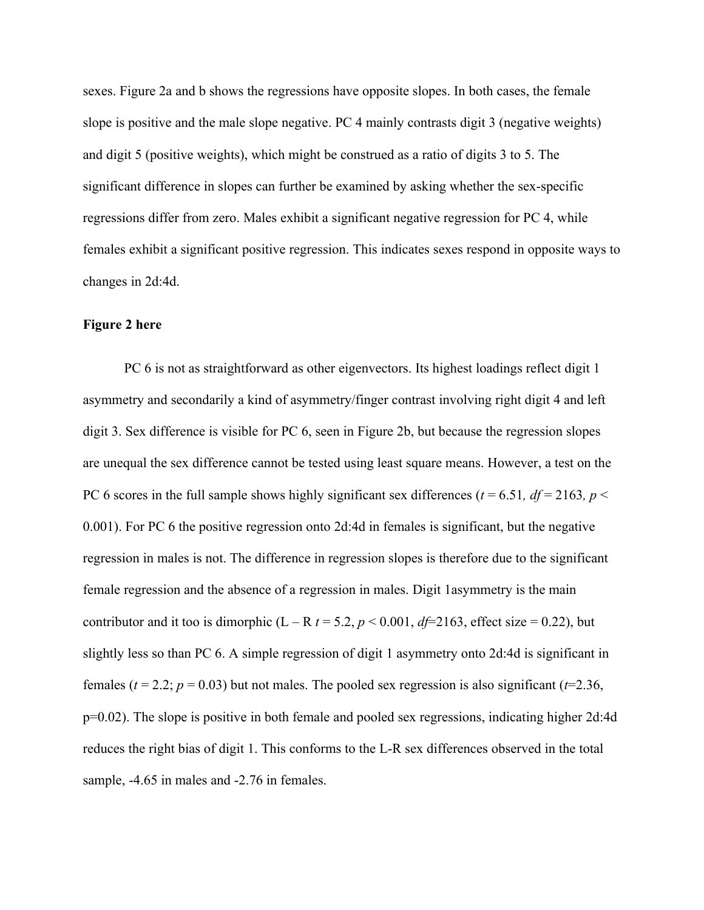sexes. Figure 2a and b shows the regressions have opposite slopes. In both cases, the female slope is positive and the male slope negative. PC 4 mainly contrasts digit 3 (negative weights) and digit 5 (positive weights), which might be construed as a ratio of digits 3 to 5. The significant difference in slopes can further be examined by asking whether the sex-specific regressions differ from zero. Males exhibit a significant negative regression for PC 4, while females exhibit a significant positive regression. This indicates sexes respond in opposite ways to changes in 2d:4d.

#### **Figure 2 here**

PC 6 is not as straightforward as other eigenvectors. Its highest loadings reflect digit 1 asymmetry and secondarily a kind of asymmetry/finger contrast involving right digit 4 and left digit 3. Sex difference is visible for PC 6, seen in Figure 2b, but because the regression slopes are unequal the sex difference cannot be tested using least square means. However, a test on the PC 6 scores in the full sample shows highly significant sex differences ( $t = 6.51$ ,  $df = 2163$ ,  $p <$ 0.001). For PC 6 the positive regression onto 2d:4d in females is significant, but the negative regression in males is not. The difference in regression slopes is therefore due to the significant female regression and the absence of a regression in males. Digit 1asymmetry is the main contributor and it too is dimorphic  $(L - R t = 5.2, p < 0.001, df = 2163$ , effect size = 0.22), but slightly less so than PC 6. A simple regression of digit 1 asymmetry onto 2d:4d is significant in females ( $t = 2.2$ ;  $p = 0.03$ ) but not males. The pooled sex regression is also significant ( $t=2.36$ , p=0.02). The slope is positive in both female and pooled sex regressions, indicating higher 2d:4d reduces the right bias of digit 1. This conforms to the L-R sex differences observed in the total sample,  $-4.65$  in males and  $-2.76$  in females.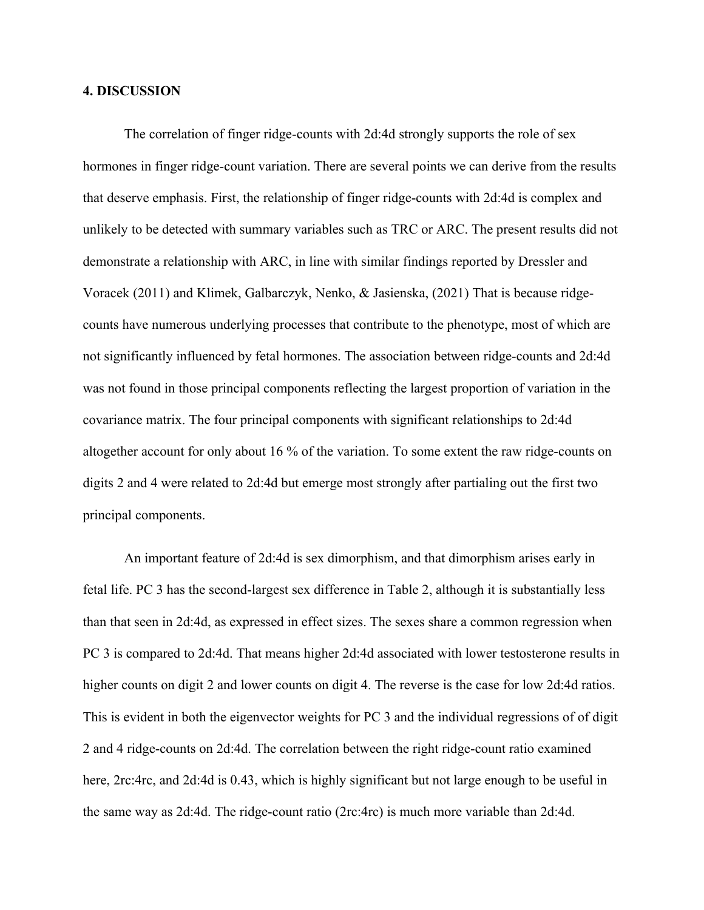#### **4. DISCUSSION**

The correlation of finger ridge-counts with 2d:4d strongly supports the role of sex hormones in finger ridge-count variation. There are several points we can derive from the results that deserve emphasis. First, the relationship of finger ridge-counts with 2d:4d is complex and unlikely to be detected with summary variables such as TRC or ARC. The present results did not demonstrate a relationship with ARC, in line with similar findings reported by Dressler and Voracek (2011) and Klimek, Galbarczyk, Nenko, & Jasienska, (2021) That is because ridgecounts have numerous underlying processes that contribute to the phenotype, most of which are not significantly influenced by fetal hormones. The association between ridge-counts and 2d:4d was not found in those principal components reflecting the largest proportion of variation in the covariance matrix. The four principal components with significant relationships to 2d:4d altogether account for only about 16 % of the variation. To some extent the raw ridge-counts on digits 2 and 4 were related to 2d:4d but emerge most strongly after partialing out the first two principal components.

An important feature of 2d:4d is sex dimorphism, and that dimorphism arises early in fetal life. PC 3 has the second-largest sex difference in Table 2, although it is substantially less than that seen in 2d:4d, as expressed in effect sizes. The sexes share a common regression when PC 3 is compared to 2d:4d. That means higher 2d:4d associated with lower testosterone results in higher counts on digit 2 and lower counts on digit 4. The reverse is the case for low 2d:4d ratios. This is evident in both the eigenvector weights for PC 3 and the individual regressions of of digit 2 and 4 ridge-counts on 2d:4d. The correlation between the right ridge-count ratio examined here, 2rc:4rc, and 2d:4d is 0.43, which is highly significant but not large enough to be useful in the same way as 2d:4d. The ridge-count ratio (2rc:4rc) is much more variable than 2d:4d.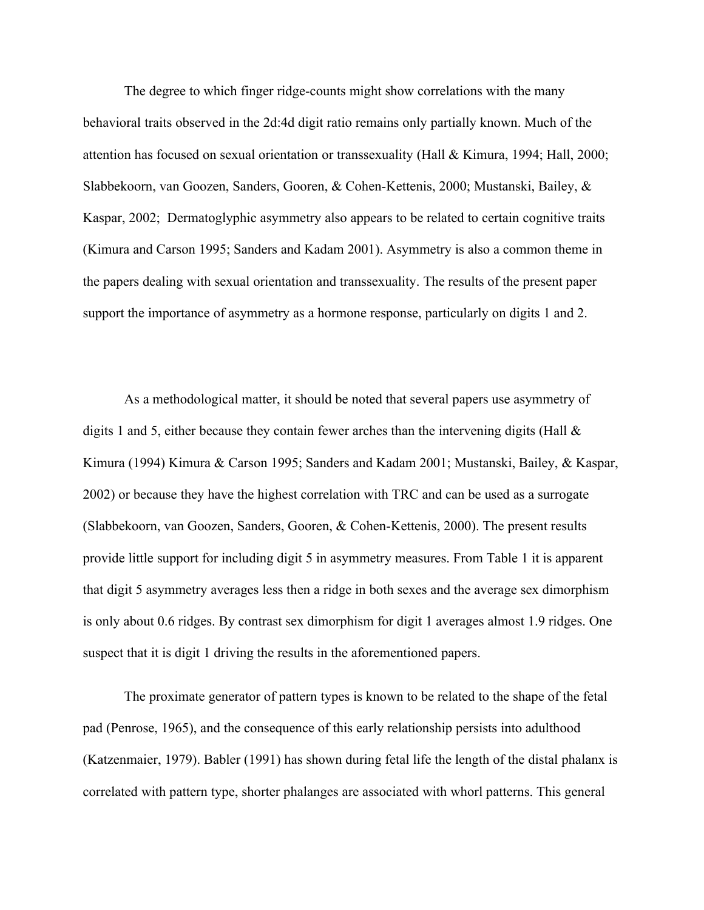The degree to which finger ridge-counts might show correlations with the many behavioral traits observed in the 2d:4d digit ratio remains only partially known. Much of the attention has focused on sexual orientation or transsexuality (Hall & Kimura, 1994; Hall, 2000; Slabbekoorn, van Goozen, Sanders, Gooren, & Cohen-Kettenis, 2000; Mustanski, Bailey, & Kaspar, 2002; Dermatoglyphic asymmetry also appears to be related to certain cognitive traits (Kimura and Carson 1995; Sanders and Kadam 2001). Asymmetry is also a common theme in the papers dealing with sexual orientation and transsexuality. The results of the present paper support the importance of asymmetry as a hormone response, particularly on digits 1 and 2.

As a methodological matter, it should be noted that several papers use asymmetry of digits 1 and 5, either because they contain fewer arches than the intervening digits (Hall  $\&$ Kimura (1994) Kimura & Carson 1995; Sanders and Kadam 2001; Mustanski, Bailey, & Kaspar, 2002) or because they have the highest correlation with TRC and can be used as a surrogate (Slabbekoorn, van Goozen, Sanders, Gooren, & Cohen-Kettenis, 2000). The present results provide little support for including digit 5 in asymmetry measures. From Table 1 it is apparent that digit 5 asymmetry averages less then a ridge in both sexes and the average sex dimorphism is only about 0.6 ridges. By contrast sex dimorphism for digit 1 averages almost 1.9 ridges. One suspect that it is digit 1 driving the results in the aforementioned papers.

The proximate generator of pattern types is known to be related to the shape of the fetal pad (Penrose, 1965), and the consequence of this early relationship persists into adulthood (Katzenmaier, 1979). Babler (1991) has shown during fetal life the length of the distal phalanx is correlated with pattern type, shorter phalanges are associated with whorl patterns. This general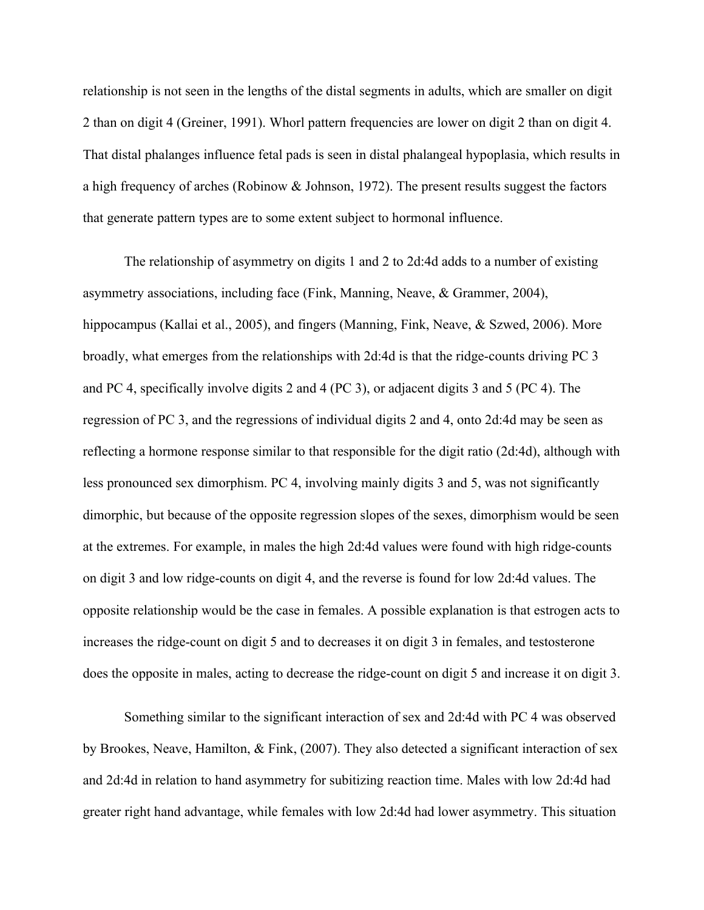relationship is not seen in the lengths of the distal segments in adults, which are smaller on digit 2 than on digit 4 (Greiner, 1991). Whorl pattern frequencies are lower on digit 2 than on digit 4. That distal phalanges influence fetal pads is seen in distal phalangeal hypoplasia, which results in a high frequency of arches (Robinow & Johnson, 1972). The present results suggest the factors that generate pattern types are to some extent subject to hormonal influence.

The relationship of asymmetry on digits 1 and 2 to 2d:4d adds to a number of existing asymmetry associations, including face (Fink, Manning, Neave, & Grammer, 2004), hippocampus (Kallai et al., 2005), and fingers (Manning, Fink, Neave, & Szwed, 2006). More broadly, what emerges from the relationships with 2d:4d is that the ridge-counts driving PC 3 and PC 4, specifically involve digits 2 and 4 (PC 3), or adjacent digits 3 and 5 (PC 4). The regression of PC 3, and the regressions of individual digits 2 and 4, onto 2d:4d may be seen as reflecting a hormone response similar to that responsible for the digit ratio (2d:4d), although with less pronounced sex dimorphism. PC 4, involving mainly digits 3 and 5, was not significantly dimorphic, but because of the opposite regression slopes of the sexes, dimorphism would be seen at the extremes. For example, in males the high 2d:4d values were found with high ridge-counts on digit 3 and low ridge-counts on digit 4, and the reverse is found for low 2d:4d values. The opposite relationship would be the case in females. A possible explanation is that estrogen acts to increases the ridge-count on digit 5 and to decreases it on digit 3 in females, and testosterone does the opposite in males, acting to decrease the ridge-count on digit 5 and increase it on digit 3.

Something similar to the significant interaction of sex and 2d:4d with PC 4 was observed by Brookes, Neave, Hamilton, & Fink, (2007). They also detected a significant interaction of sex and 2d:4d in relation to hand asymmetry for subitizing reaction time. Males with low 2d:4d had greater right hand advantage, while females with low 2d:4d had lower asymmetry. This situation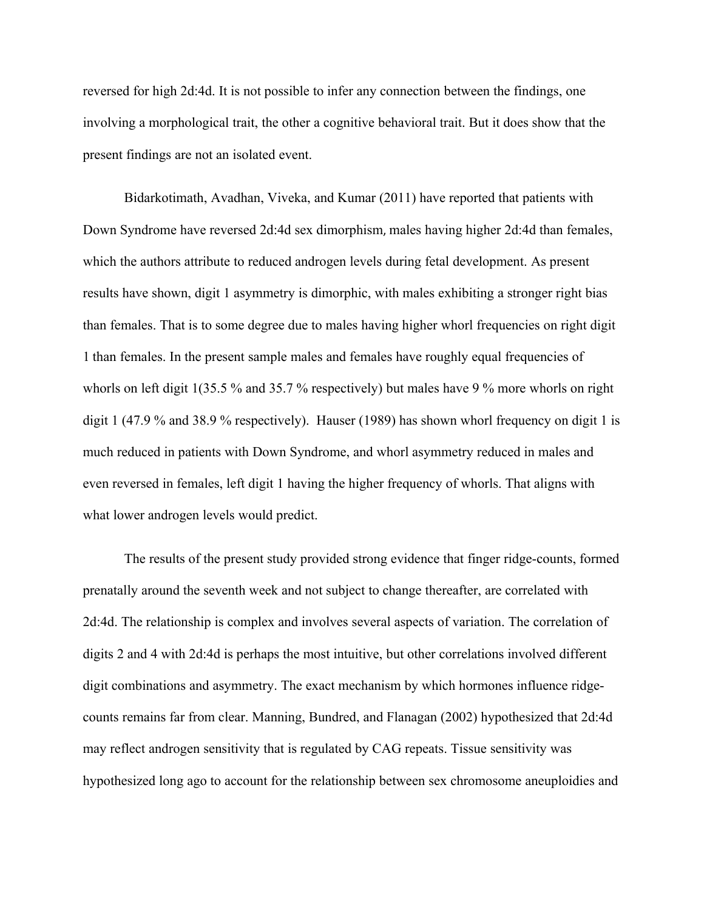reversed for high 2d:4d. It is not possible to infer any connection between the findings, one involving a morphological trait, the other a cognitive behavioral trait. But it does show that the present findings are not an isolated event.

Bidarkotimath, Avadhan, Viveka, and Kumar (2011) have reported that patients with Down Syndrome have reversed 2d:4d sex dimorphism, males having higher 2d:4d than females, which the authors attribute to reduced androgen levels during fetal development. As present results have shown, digit 1 asymmetry is dimorphic, with males exhibiting a stronger right bias than females. That is to some degree due to males having higher whorl frequencies on right digit 1 than females. In the present sample males and females have roughly equal frequencies of whorls on left digit 1(35.5 % and 35.7 % respectively) but males have 9 % more whorls on right digit 1 (47.9 % and 38.9 % respectively). Hauser (1989) has shown whorl frequency on digit 1 is much reduced in patients with Down Syndrome, and whorl asymmetry reduced in males and even reversed in females, left digit 1 having the higher frequency of whorls. That aligns with what lower androgen levels would predict.

The results of the present study provided strong evidence that finger ridge-counts, formed prenatally around the seventh week and not subject to change thereafter, are correlated with 2d:4d. The relationship is complex and involves several aspects of variation. The correlation of digits 2 and 4 with 2d:4d is perhaps the most intuitive, but other correlations involved different digit combinations and asymmetry. The exact mechanism by which hormones influence ridgecounts remains far from clear. Manning, Bundred, and Flanagan (2002) hypothesized that 2d:4d may reflect androgen sensitivity that is regulated by CAG repeats. Tissue sensitivity was hypothesized long ago to account for the relationship between sex chromosome aneuploidies and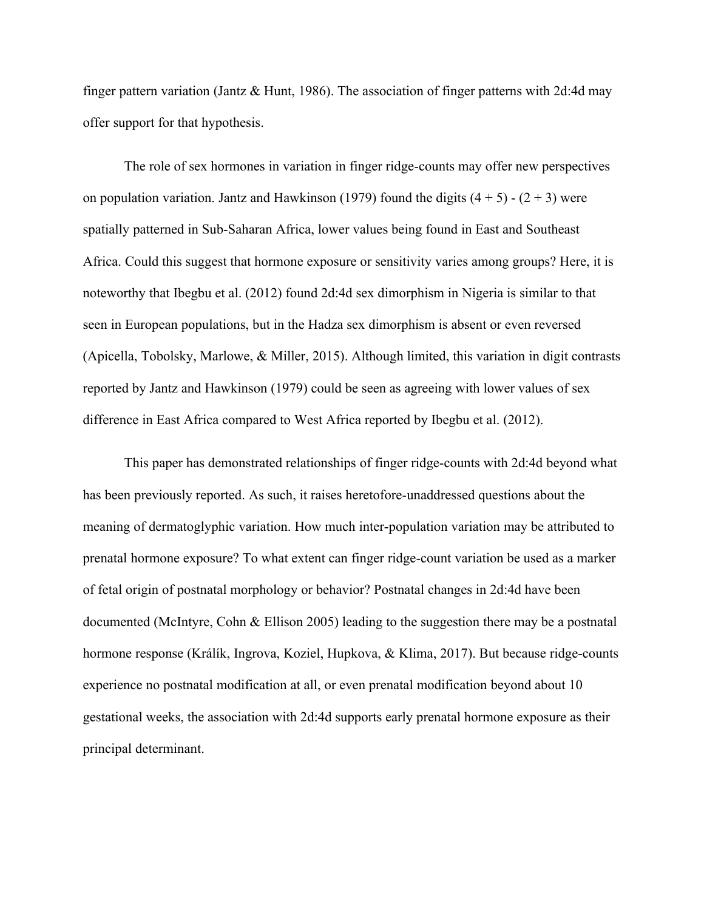finger pattern variation (Jantz & Hunt, 1986). The association of finger patterns with 2d:4d may offer support for that hypothesis.

The role of sex hormones in variation in finger ridge-counts may offer new perspectives on population variation. Jantz and Hawkinson (1979) found the digits  $(4 + 5) - (2 + 3)$  were spatially patterned in Sub-Saharan Africa, lower values being found in East and Southeast Africa. Could this suggest that hormone exposure or sensitivity varies among groups? Here, it is noteworthy that Ibegbu et al. (2012) found 2d:4d sex dimorphism in Nigeria is similar to that seen in European populations, but in the Hadza sex dimorphism is absent or even reversed (Apicella, Tobolsky, Marlowe, & Miller, 2015). Although limited, this variation in digit contrasts reported by Jantz and Hawkinson (1979) could be seen as agreeing with lower values of sex difference in East Africa compared to West Africa reported by Ibegbu et al. (2012).

This paper has demonstrated relationships of finger ridge-counts with 2d:4d beyond what has been previously reported. As such, it raises heretofore-unaddressed questions about the meaning of dermatoglyphic variation. How much inter-population variation may be attributed to prenatal hormone exposure? To what extent can finger ridge-count variation be used as a marker of fetal origin of postnatal morphology or behavior? Postnatal changes in 2d:4d have been documented (McIntyre, Cohn & Ellison 2005) leading to the suggestion there may be a postnatal hormone response (Králík, Ingrova, Koziel, Hupkova, & Klima, 2017). But because ridge-counts experience no postnatal modification at all, or even prenatal modification beyond about 10 gestational weeks, the association with 2d:4d supports early prenatal hormone exposure as their principal determinant.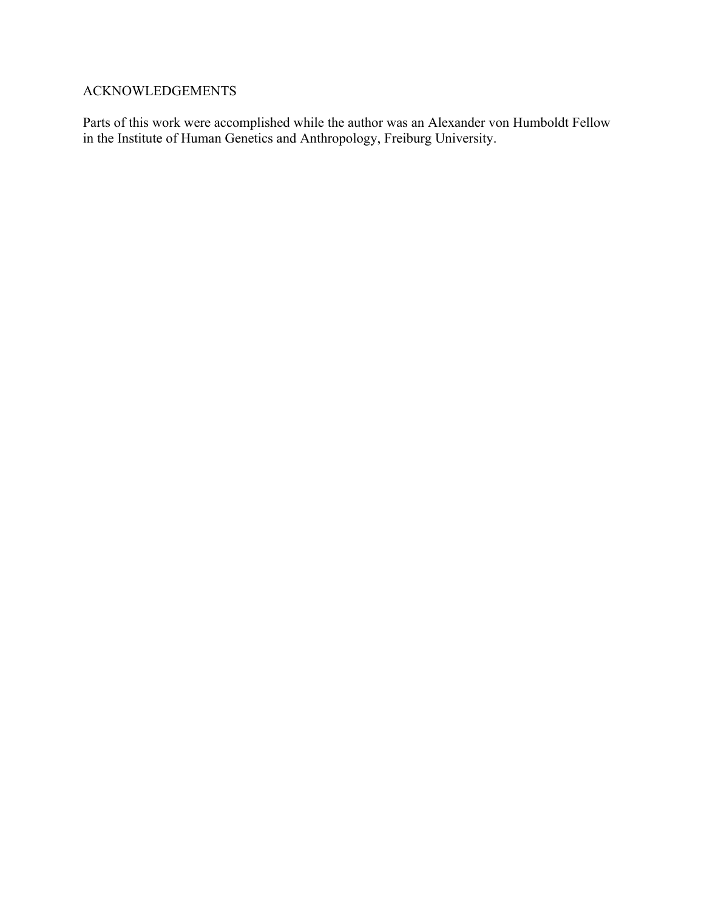### ACKNOWLEDGEMENTS

Parts of this work were accomplished while the author was an Alexander von Humboldt Fellow in the Institute of Human Genetics and Anthropology, Freiburg University.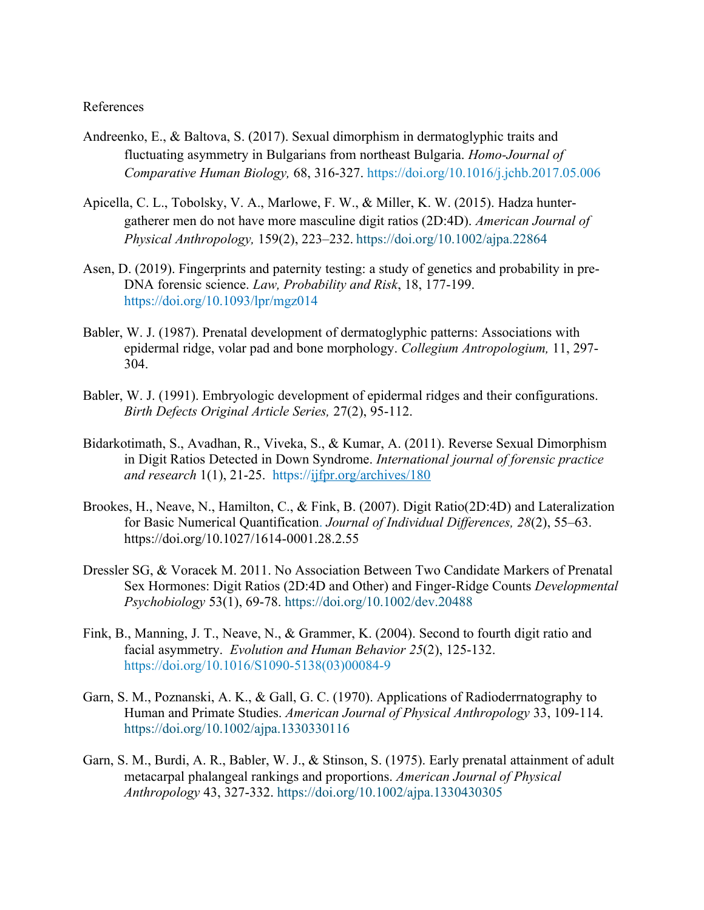#### References

- Andreenko, E., & Baltova, S. (2017). Sexual dimorphism in dermatoglyphic traits and fluctuating asymmetry in Bulgarians from northeast Bulgaria. *Homo-Journal of Comparative Human Biology,* 68, 316-327.<https://doi.org/10.1016/j.jchb.2017.05.006>
- Apicella, C. L., Tobolsky, V. A., Marlowe, F. W., & Miller, K. W. (2015). Hadza hunter‐ gatherer men do not have more masculine digit ratios (2D:4D). *American Journal of Physical Anthropology,* 159(2), 223–232. <https://doi.org/10.1002/ajpa.22864>
- Asen, D. (2019). Fingerprints and paternity testing: a study of genetics and probability in pre-DNA forensic science. *Law, Probability and Risk*, 18, 177-199. <https://doi.org/10.1093/lpr/mgz014>
- Babler, W. J. (1987). Prenatal development of dermatoglyphic patterns: Associations with epidermal ridge, volar pad and bone morphology. *Collegium Antropologium,* 11, 297- 304.
- Babler, W. J. (1991). Embryologic development of epidermal ridges and their configurations. *Birth Defects Original Article Series,* 27(2), 95-112.
- Bidarkotimath, S., Avadhan, R., Viveka, S., & Kumar, A. (2011). Reverse Sexual Dimorphism in Digit Ratios Detected in Down Syndrome. *International journal of forensic practice and research* 1(1), 21-25. <https://ijfpr.org/archives/180>
- Brookes, H., Neave, N., Hamilton, C., & Fink, B. (2007). Digit Ratio(2D:4D) and Lateralization for Basic Numerical Quantification. *Journal of Individual Differences, 28*(2), 55–63. https://doi.org/10.1027/1614-0001.28.2.55
- Dressler SG, & Voracek M. 2011. No Association Between Two Candidate Markers of Prenatal Sex Hormones: Digit Ratios (2D:4D and Other) and Finger-Ridge Counts *Developmental Psychobiology* 53(1), 69-78. <https://doi.org/10.1002/dev.20488>
- Fink, B., Manning, J. T., Neave, N., & Grammer, K. (2004). Second to fourth digit ratio and facial asymmetry. *Evolution and Human Behavior 25*(2), 125-132. [https://doi.org/10.1016/S1090-5138\(03\)00084-9](https://doi.org/10.1016/S1090-5138(03)00084-9)
- Garn, S. M., Poznanski, A. K., & Gall, G. C. (1970). Applications of Radioderrnatography to Human and Primate Studies. *American Journal of Physical Anthropology* 33, 109-114. <https://doi.org/10.1002/ajpa.1330330116>
- Garn, S. M., Burdi, A. R., Babler, W. J., & Stinson, S. (1975). Early prenatal attainment of adult metacarpal phalangeal rankings and proportions. *American Journal of Physical Anthropology* 43, 327-332.<https://doi.org/10.1002/ajpa.1330430305>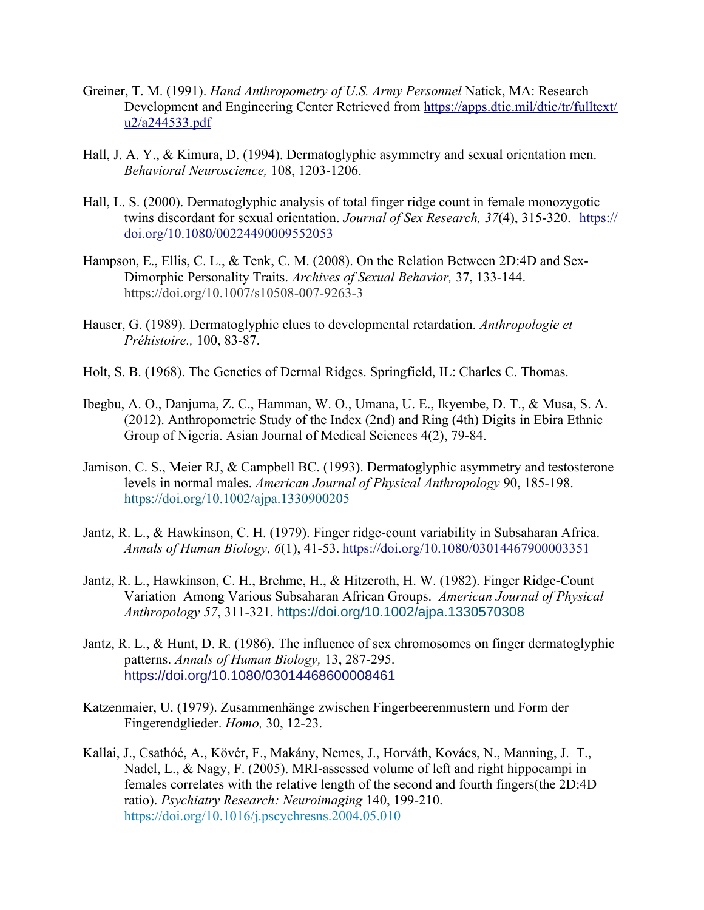- Greiner, T. M. (1991). *Hand Anthropometry of U.S. Army Personnel* Natick, MA: Research Development and Engineering Center Retrieved from [https://apps.dtic.mil/dtic/tr/fulltext/](https://apps.dtic.mil/dtic/tr/fulltext/u2/a244533.pdf) [u2/a244533.pdf](https://apps.dtic.mil/dtic/tr/fulltext/u2/a244533.pdf)
- Hall, J. A. Y., & Kimura, D. (1994). Dermatoglyphic asymmetry and sexual orientation men. *Behavioral Neuroscience,* 108, 1203-1206.
- Hall, L. S. (2000). Dermatoglyphic analysis of total finger ridge count in female monozygotic twins discordant for sexual orientation. *Journal of Sex Research, 37*(4), 315-320. [https://](https://doi.org/10.1080/00224490009552053) [doi.org/10.1080/00224490009552053](https://doi.org/10.1080/00224490009552053)
- Hampson, E., Ellis, C. L., & Tenk, C. M. (2008). On the Relation Between 2D:4D and Sex-Dimorphic Personality Traits. *Archives of Sexual Behavior,* 37, 133-144. https://doi.org/10.1007/s10508-007-9263-3
- Hauser, G. (1989). Dermatoglyphic clues to developmental retardation. *Anthropologie et Préhistoire.,* 100, 83-87.
- Holt, S. B. (1968). The Genetics of Dermal Ridges. Springfield, IL: Charles C. Thomas.
- Ibegbu, A. O., Danjuma, Z. C., Hamman, W. O., Umana, U. E., Ikyembe, D. T., & Musa, S. A. (2012). Anthropometric Study of the Index (2nd) and Ring (4th) Digits in Ebira Ethnic Group of Nigeria. Asian Journal of Medical Sciences 4(2), 79-84.
- Jamison, C. S., Meier RJ, & Campbell BC. (1993). Dermatoglyphic asymmetry and testosterone levels in normal males. *American Journal of Physical Anthropology* 90, 185-198. <https://doi.org/10.1002/ajpa.1330900205>
- Jantz, R. L., & Hawkinson, C. H. (1979). Finger ridge-count variability in Subsaharan Africa. *Annals of Human Biology, 6*(1), 41-53. https://doi.org/10.1080/03014467900003351
- Jantz, R. L., Hawkinson, C. H., Brehme, H., & Hitzeroth, H. W. (1982). Finger Ridge-Count Variation Among Various Subsaharan African Groups. *American Journal of Physical Anthropology 57*, 311-321. <https://doi.org/10.1002/ajpa.1330570308>
- Jantz, R. L., & Hunt, D. R. (1986). The influence of sex chromosomes on finger dermatoglyphic patterns. *Annals of Human Biology,* 13, 287-295. <https://doi.org/10.1080/03014468600008461>
- Katzenmaier, U. (1979). Zusammenhänge zwischen Fingerbeerenmustern und Form der Fingerendglieder. *Homo,* 30, 12-23.
- Kallai, J., Csathóé, A., Kövér, F., Makány, Nemes, J., Horváth, Kovács, N., Manning, J. T., Nadel, L., & Nagy, F. (2005). MRI-assessed volume of left and right hippocampi in females correlates with the relative length of the second and fourth fingers(the 2D:4D ratio). *Psychiatry Research: Neuroimaging* 140, 199-210. <https://doi.org/10.1016/j.pscychresns.2004.05.010>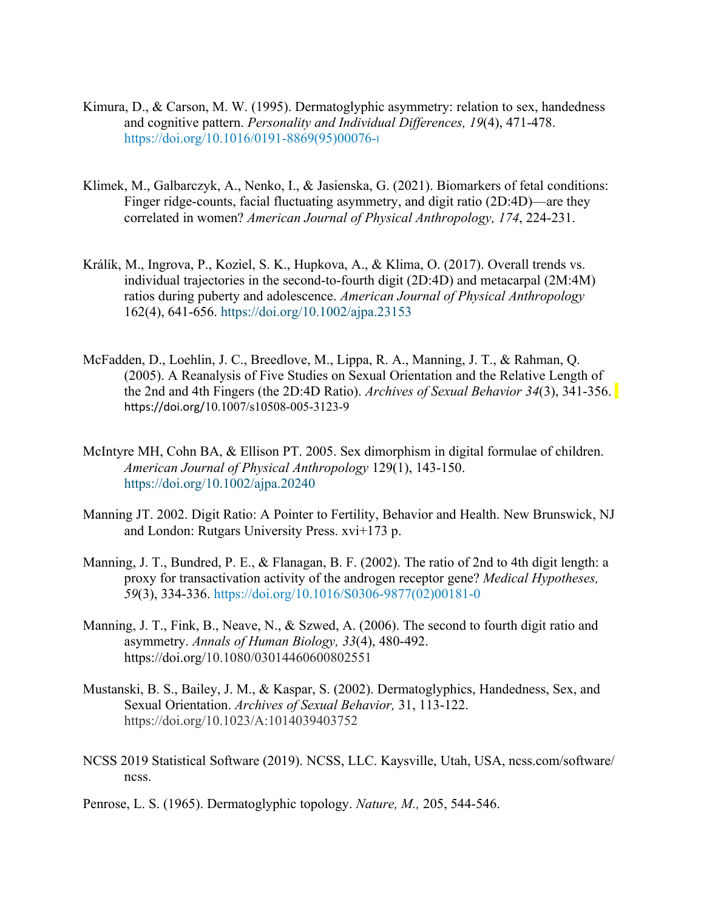- Kimura, D., & Carson, M. W. (1995). Dermatoglyphic asymmetry: relation to sex, handedness and cognitive pattern. *Personality and Individual Differences, 19*(4), 471-478. [https://doi.org/10.1016/0191-8869\(95\)00076-](https://doi.org/10.1016/0191-8869(95)00076-I)[I](https://doi.org/10.1016/0191-8869(95)00076-I)
- Klimek, M., Galbarczyk, A., Nenko, I., & Jasienska, G. (2021). Biomarkers of fetal conditions: Finger ridge-counts, facial fluctuating asymmetry, and digit ratio (2D:4D)—are they correlated in women? *American Journal of Physical Anthropology, 174*, 224-231.
- Králík, M., Ingrova, P., Koziel, S. K., Hupkova, A., & Klima, O. (2017). Overall trends vs. individual trajectories in the second-to-fourth digit (2D:4D) and metacarpal (2M:4M) ratios during puberty and adolescence. *American Journal of Physical Anthropology* 162(4), 641-656.<https://doi.org/10.1002/ajpa.23153>
- McFadden, D., Loehlin, J. C., Breedlove, M., Lippa, R. A., Manning, J. T., & Rahman, Q. (2005). A Reanalysis of Five Studies on Sexual Orientation and the Relative Length of the 2nd and 4th Fingers (the 2D:4D Ratio). *Archives of Sexual Behavior 34*(3), 341-356. https://doi.org/10.1007/s10508-005-3123-9
- McIntyre MH, Cohn BA, & Ellison PT. 2005. Sex dimorphism in digital formulae of children. *American Journal of Physical Anthropology* 129(1), 143-150. <https://doi.org/10.1002/ajpa.20240>
- Manning JT. 2002. Digit Ratio: A Pointer to Fertility, Behavior and Health. New Brunswick, NJ and London: Rutgars University Press. xvi+173 p.
- Manning, J. T., Bundred, P. E., & Flanagan, B. F. (2002). The ratio of 2nd to 4th digit length: a proxy for transactivation activity of the androgen receptor gene? *Medical Hypotheses, 59*(3), 334-336. [https://doi.org/10.1016/S0306-9877\(02\)00181-0](https://doi.org/10.1016/S0306-9877(02)00181-0)
- Manning, J. T., Fink, B., Neave, N., & Szwed, A. (2006). The second to fourth digit ratio and asymmetry. *Annals of Human Biology, 33*(4), 480-492. https://doi.org/10.1080/03014460600802551
- Mustanski, B. S., Bailey, J. M., & Kaspar, S. (2002). Dermatoglyphics, Handedness, Sex, and Sexual Orientation. *Archives of Sexual Behavior,* 31, 113-122. https://doi.org/10.1023/A:1014039403752
- NCSS 2019 Statistical Software (2019). NCSS, LLC. Kaysville, Utah, USA, ncss.com/software/ ncss.
- Penrose, L. S. (1965). Dermatoglyphic topology. *Nature, M.,* 205, 544-546.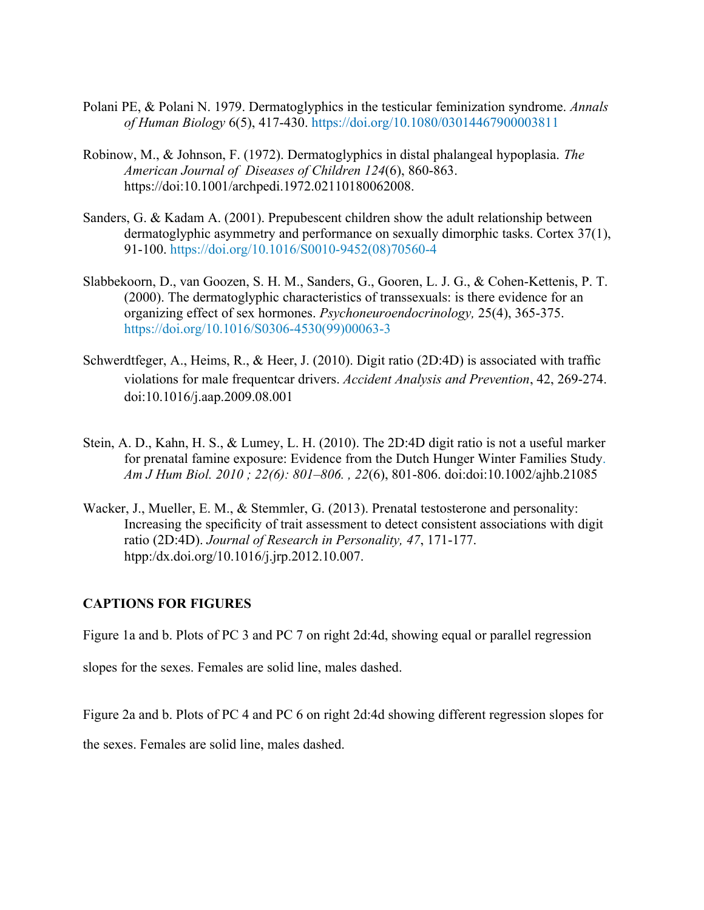- Polani PE, & Polani N. 1979. Dermatoglyphics in the testicular feminization syndrome. *Annals of Human Biology* 6(5), 417-430.<https://doi.org/10.1080/03014467900003811>
- Robinow, M., & Johnson, F. (1972). Dermatoglyphics in distal phalangeal hypoplasia. *The American Journal of Diseases of Children 124*(6), 860-863. https://doi:10.1001/archpedi.1972.02110180062008.
- Sanders, G. & Kadam A. (2001). Prepubescent children show the adult relationship between dermatoglyphic asymmetry and performance on sexually dimorphic tasks. Cortex 37(1), 91-100. [https://doi.org/10.1016/S0010-9452\(08\)70560-4](https://doi.org/10.1016/S0010-9452(08)70560-4)
- Slabbekoorn, D., van Goozen, S. H. M., Sanders, G., Gooren, L. J. G., & Cohen-Kettenis, P. T. (2000). The dermatoglyphic characteristics of transsexuals: is there evidence for an organizing effect of sex hormones. *Psychoneuroendocrinology,* 25(4), 365-375. [https://doi.org/10.1016/S0306-4530\(99\)00063-3](https://doi.org/10.1016/S0306-4530(99)00063-3)
- Schwerdtfeger, A., Heims, R., & Heer, J. (2010). Digit ratio (2D:4D) is associated with traffic violations for male frequentcar drivers. *Accident Analysis and Prevention*, 42, 269-274. doi:10.1016/j.aap.2009.08.001
- Stein, A. D., Kahn, H. S., & Lumey, L. H. (2010). The 2D:4D digit ratio is not a useful marker for prenatal famine exposure: Evidence from the Dutch Hunger Winter Families Study. *Am J Hum Biol. 2010 ; 22(6): 801–806. , 22*(6), 801-806. doi:doi:10.1002/ajhb.21085
- Wacker, J., Mueller, E. M., & Stemmler, G. (2013). Prenatal testosterone and personality: Increasing the specificity of trait assessment to detect consistent associations with digit ratio (2D:4D). *Journal of Research in Personality, 47*, 171-177. htpp:/dx.doi.org/10.1016/j.jrp.2012.10.007.

#### **CAPTIONS FOR FIGURES**

Figure 1a and b. Plots of PC 3 and PC 7 on right 2d:4d, showing equal or parallel regression

slopes for the sexes. Females are solid line, males dashed.

Figure 2a and b. Plots of PC 4 and PC 6 on right 2d:4d showing different regression slopes for

the sexes. Females are solid line, males dashed.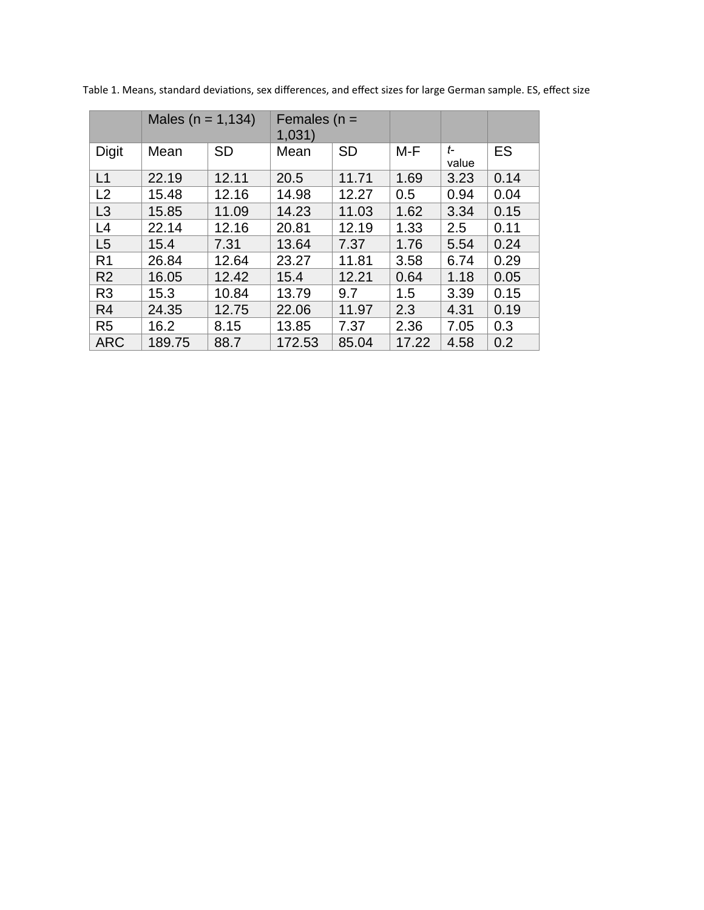|                | Males ( $n = 1,134$ ) |           | Females ( $n =$<br>1,031) |           |       |             |      |
|----------------|-----------------------|-----------|---------------------------|-----------|-------|-------------|------|
| <b>Digit</b>   | Mean                  | <b>SD</b> | Mean                      | <b>SD</b> | M-F   | t-<br>value | ES   |
| L1             | 22.19                 | 12.11     | 20.5                      | 11.71     | 1.69  | 3.23        | 0.14 |
| L2             | 15.48                 | 12.16     | 14.98                     | 12.27     | 0.5   | 0.94        | 0.04 |
| L3             | 15.85                 | 11.09     | 14.23                     | 11.03     | 1.62  | 3.34        | 0.15 |
| L4             | 22.14                 | 12.16     | 20.81                     | 12.19     | 1.33  | 2.5         | 0.11 |
| L <sub>5</sub> | 15.4                  | 7.31      | 13.64                     | 7.37      | 1.76  | 5.54        | 0.24 |
| R1             | 26.84                 | 12.64     | 23.27                     | 11.81     | 3.58  | 6.74        | 0.29 |
| R <sub>2</sub> | 16.05                 | 12.42     | 15.4                      | 12.21     | 0.64  | 1.18        | 0.05 |
| R <sub>3</sub> | 15.3                  | 10.84     | 13.79                     | 9.7       | 1.5   | 3.39        | 0.15 |
| R <sub>4</sub> | 24.35                 | 12.75     | 22.06                     | 11.97     | 2.3   | 4.31        | 0.19 |
| R <sub>5</sub> | 16.2                  | 8.15      | 13.85                     | 7.37      | 2.36  | 7.05        | 0.3  |
| <b>ARC</b>     | 189.75                | 88.7      | 172.53                    | 85.04     | 17.22 | 4.58        | 0.2  |

Table 1. Means, standard deviations, sex differences, and effect sizes for large German sample. ES, effect size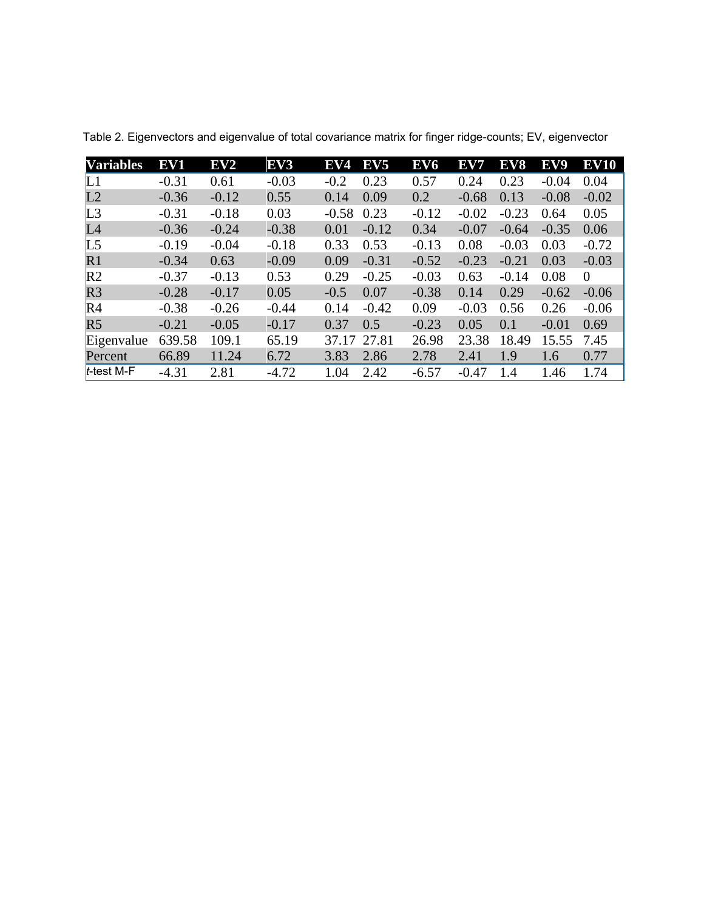| <b>Variables</b> | ${\bf EV1}$ | EV2     | EV <sub>3</sub> | EV4     | EV <sub>5</sub> | EV <sub>6</sub> | EV7     | EV8     | EV9     | <b>EV10</b>    |
|------------------|-------------|---------|-----------------|---------|-----------------|-----------------|---------|---------|---------|----------------|
| L1               | $-0.31$     | 0.61    | $-0.03$         | $-0.2$  | 0.23            | 0.57            | 0.24    | 0.23    | $-0.04$ | 0.04           |
| L <sub>2</sub>   | $-0.36$     | $-0.12$ | 0.55            | 0.14    | 0.09            | 0.2             | $-0.68$ | 0.13    | $-0.08$ | $-0.02$        |
| L <sub>3</sub>   | $-0.31$     | $-0.18$ | 0.03            | $-0.58$ | 0.23            | $-0.12$         | $-0.02$ | $-0.23$ | 0.64    | 0.05           |
| L4               | $-0.36$     | $-0.24$ | $-0.38$         | 0.01    | $-0.12$         | 0.34            | $-0.07$ | $-0.64$ | $-0.35$ | 0.06           |
| L <sub>5</sub>   | $-0.19$     | $-0.04$ | $-0.18$         | 0.33    | 0.53            | $-0.13$         | 0.08    | $-0.03$ | 0.03    | $-0.72$        |
| R1               | $-0.34$     | 0.63    | $-0.09$         | 0.09    | $-0.31$         | $-0.52$         | $-0.23$ | $-0.21$ | 0.03    | $-0.03$        |
| R <sub>2</sub>   | $-0.37$     | $-0.13$ | 0.53            | 0.29    | $-0.25$         | $-0.03$         | 0.63    | $-0.14$ | 0.08    | $\overline{0}$ |
| R <sub>3</sub>   | $-0.28$     | $-0.17$ | 0.05            | $-0.5$  | 0.07            | $-0.38$         | 0.14    | 0.29    | $-0.62$ | $-0.06$        |
| R <sub>4</sub>   | $-0.38$     | $-0.26$ | $-0.44$         | 0.14    | $-0.42$         | 0.09            | $-0.03$ | 0.56    | 0.26    | $-0.06$        |
| R <sub>5</sub>   | $-0.21$     | $-0.05$ | $-0.17$         | 0.37    | 0.5             | $-0.23$         | 0.05    | 0.1     | $-0.01$ | 0.69           |
| Eigenvalue       | 639.58      | 109.1   | 65.19           | 37.17   | 27.81           | 26.98           | 23.38   | 18.49   | 15.55   | 7.45           |
| <b>Percent</b>   | 66.89       | 11.24   | 6.72            | 3.83    | 2.86            | 2.78            | 2.41    | 1.9     | 1.6     | 0.77           |
| $t$ -test M-F    | $-4.31$     | 2.81    | $-4.72$         | 1.04    | 2.42            | $-6.57$         | $-0.47$ | 1.4     | 1.46    | 1.74           |

Table 2. Eigenvectors and eigenvalue of total covariance matrix for finger ridge-counts; EV, eigenvector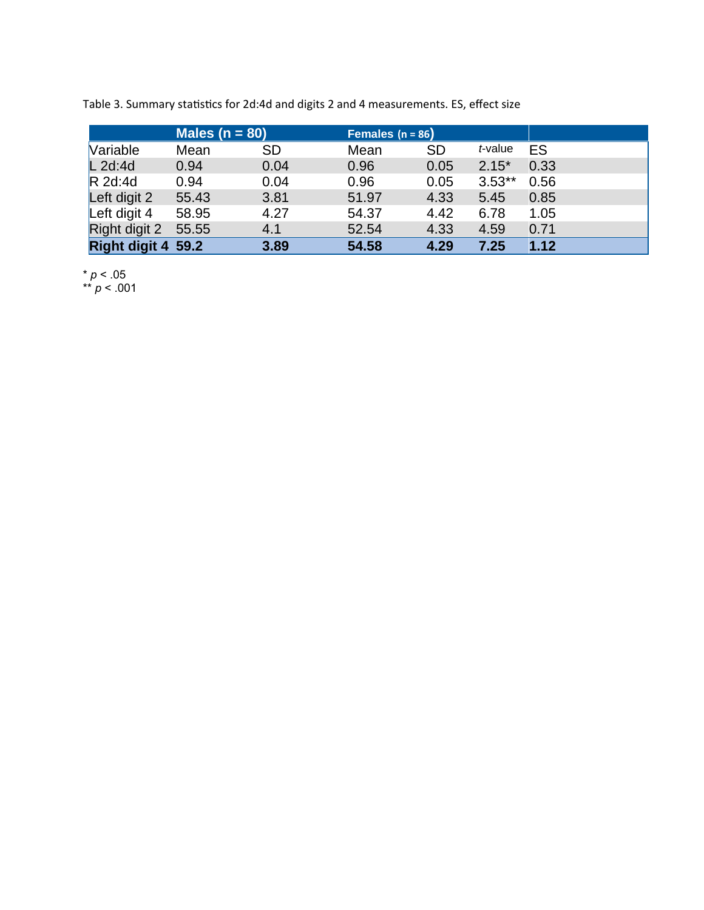|                    | Males ( $n = 80$ ) |           | Females $(n = 86)$ |           |          |      |
|--------------------|--------------------|-----------|--------------------|-----------|----------|------|
| <b>Variable</b>    | Mean               | <b>SD</b> | Mean               | <b>SD</b> | t-value  | ES   |
| $L$ 2d:4d          | 0.94               | 0.04      | 0.96               | 0.05      | $2.15*$  | 0.33 |
| $R$ 2d:4d          | 0.94               | 0.04      | 0.96               | 0.05      | $3.53**$ | 0.56 |
| Left digit 2       | 55.43              | 3.81      | 51.97              | 4.33      | 5.45     | 0.85 |
| Left digit 4       | 58.95              | 4.27      | 54.37              | 4.42      | 6.78     | 1.05 |
| Right digit 2      | 55.55              | 4.1       | 52.54              | 4.33      | 4.59     | 0.71 |
| Right digit 4 59.2 |                    | 3.89      | 54.58              | 4.29      | 7.25     | 1.12 |

Table 3. Summary statistics for 2d:4d and digits 2 and 4 measurements. ES, effect size

\* *p* < .05

\*\* *p* < .001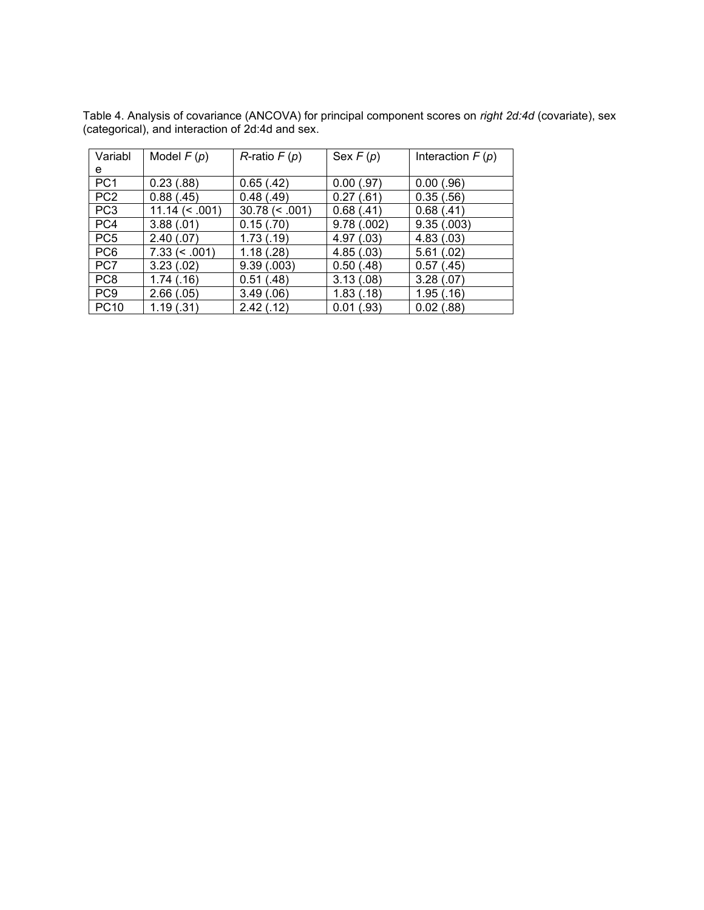Table 4. Analysis of covariance (ANCOVA) for principal component scores on *right 2d:4d* (covariate), sex (categorical), and interaction of 2d:4d and sex.

| Variabl         | Model $F(p)$      | $R$ -ratio $F(p)$ | Sex $F(p)$                  | Interaction $F(p)$ |
|-----------------|-------------------|-------------------|-----------------------------|--------------------|
| е               |                   |                   |                             |                    |
| PC <sub>1</sub> | 0.23(.88)         | 0.65(.42)         | 0.00(.97)                   | 0.00(0.96)         |
| PC <sub>2</sub> | 0.88(.45)         | 0.48(0.49)        | 0.27(.61)                   | 0.35(.56)          |
| PC <sub>3</sub> | $11.14 \leq .001$ | $30.78 \le 0.001$ | 0.68(.41)                   | 0.68(.41)          |
| PC4             | 3.88(.01)         | 0.15( .70)        | 9.78(.002)                  | 9.35(.003)         |
| PC <sub>5</sub> | 2.40(0.07)        | 1.73(0.19)        | 4.97(.03)                   | 4.83(.03)          |
| PC <sub>6</sub> | $7.33 \le 0.001$  | 1.18(.28)         | 4.85(.03)                   | 5.61(.02)          |
| PC7             | 3.23(.02)         | 9.39(.003)        | 0.50(0.48)                  | 0.57(0.45)         |
| PC <sub>8</sub> | 1.74(0.16)        | 0.51(.48)         | 3.13(0.08)                  | 3.28(.07)          |
| PC <sub>9</sub> | 2.66(.05)         | 3.49(.06)         | 1.83(0.18)                  | 1.95(0.16)         |
| <b>PC10</b>     | 1.19(.31)         | 2.42(.12)         | $\left( .93\right)$<br>0.01 | $0.02$ (.88)       |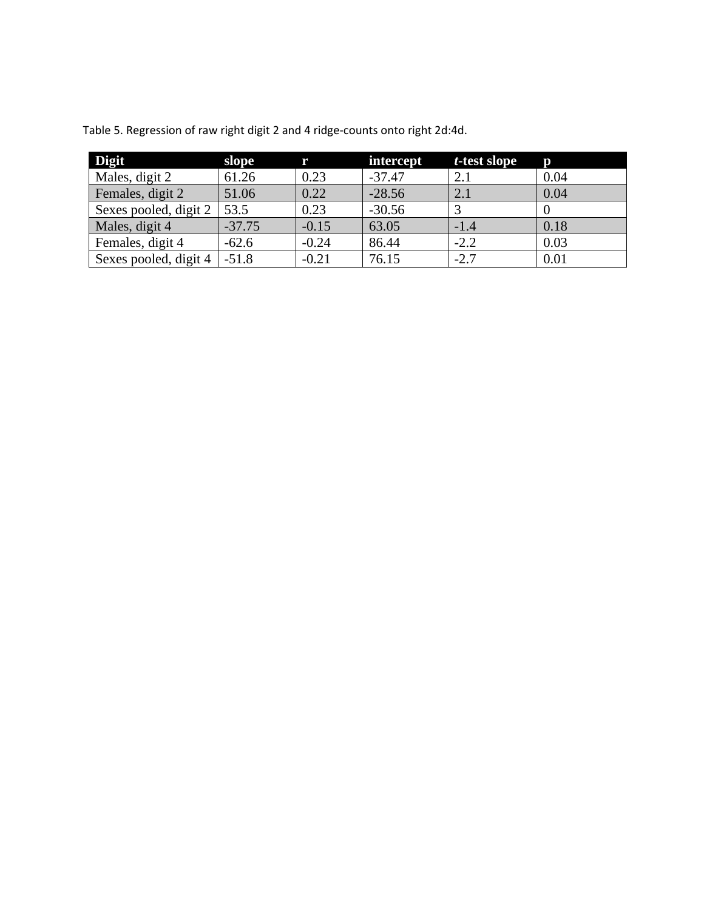| <b>Digit</b>          | slope    | r       | intercept | t-test slope | D    |
|-----------------------|----------|---------|-----------|--------------|------|
| Males, digit 2        | 61.26    | 0.23    | $-37.47$  | 2.1          | 0.04 |
| Females, digit 2      | 51.06    | 0.22    | $-28.56$  | 2.1          | 0.04 |
| Sexes pooled, digit 2 | 53.5     | 0.23    | $-30.56$  |              |      |
| Males, digit 4        | $-37.75$ | $-0.15$ | 63.05     | $-1.4$       | 0.18 |
| Females, digit 4      | $-62.6$  | $-0.24$ | 86.44     | $-2.2$       | 0.03 |
| Sexes pooled, digit 4 | $-51.8$  | $-0.21$ | 76.15     | $-2.7$       | 0.01 |

Table 5. Regression of raw right digit 2 and 4 ridge-counts onto right 2d:4d.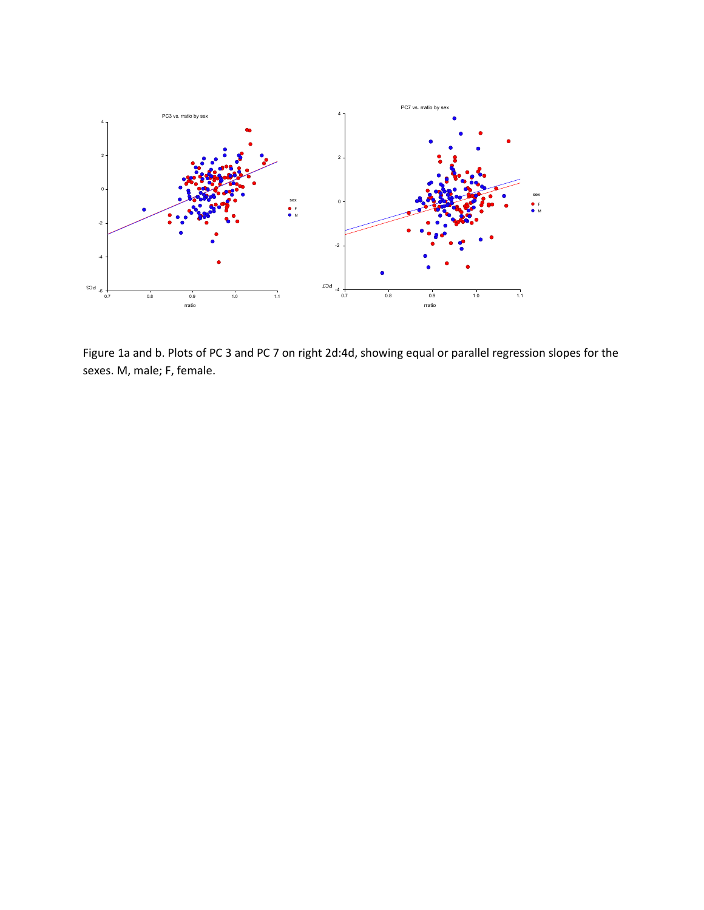

Figure 1a and b. Plots of PC 3 and PC 7 on right 2d:4d, showing equal or parallel regression slopes for the sexes. M, male; F, female.